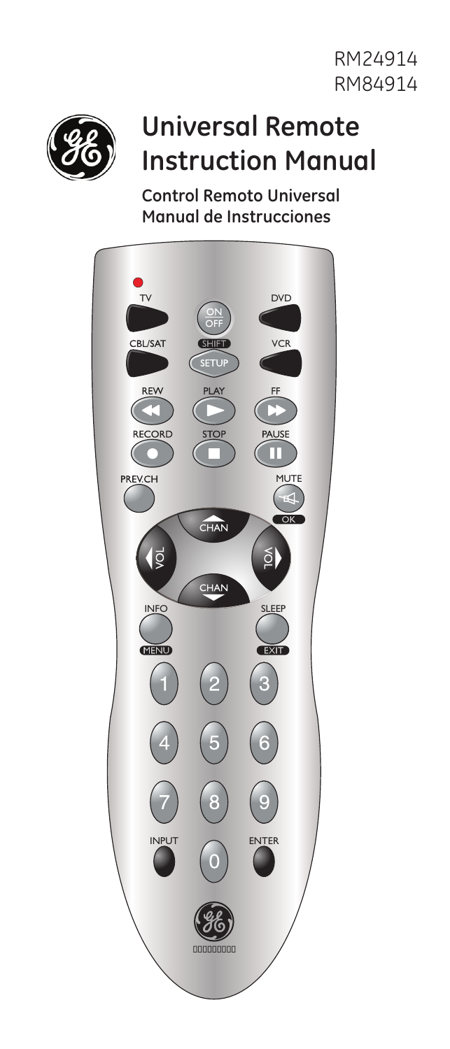RM24914 RM84914



# **Universal Remote Instruction Manual**

**Control Remoto Universal Manual de Instrucciones**

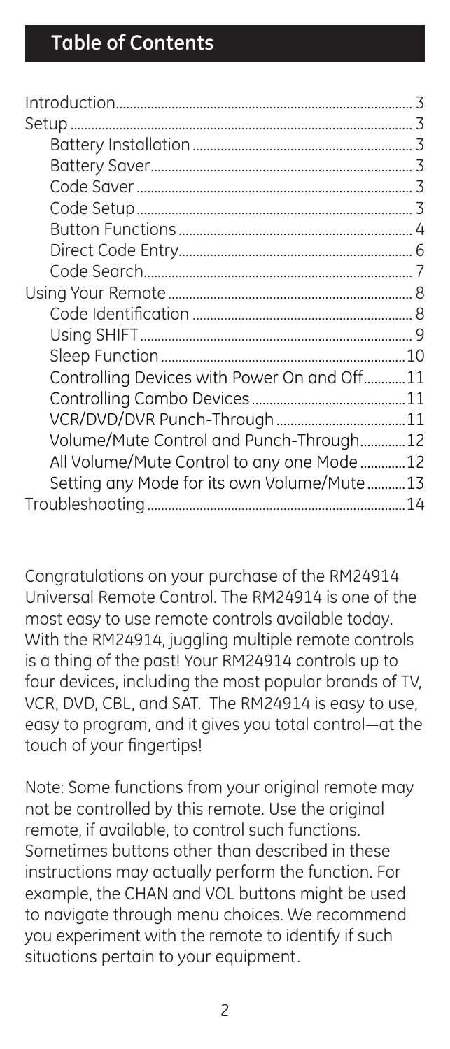|                                             | 3  |
|---------------------------------------------|----|
|                                             |    |
|                                             |    |
|                                             |    |
|                                             |    |
|                                             |    |
|                                             |    |
|                                             |    |
|                                             |    |
|                                             |    |
|                                             |    |
|                                             |    |
|                                             | 10 |
| Controlling Devices with Power On and Off11 |    |
|                                             |    |
|                                             |    |
| Volume/Mute Control and Punch-Through12     |    |
| All Volume/Mute Control to any one Mode12   |    |
| Setting any Mode for its own Volume/Mute13  |    |
|                                             | 14 |
|                                             |    |

Congratulations on your purchase of the RM24914 Universal Remote Control. The RM24914 is one of the most easy to use remote controls available today. With the RM24914, juggling multiple remote controls is a thing of the past! Your RM24914 controls up to four devices, including the most popular brands of TV, VCR, DVD, CBL, and SAT. The RM24914 is easy to use, easy to program, and it gives you total control—at the touch of your fingertips!

Note: Some functions from your original remote may not be controlled by this remote. Use the original remote, if available, to control such functions. Sometimes buttons other than described in these instructions may actually perform the function. For example, the CHAN and VOL buttons might be used to navigate through menu choices. We recommend you experiment with the remote to identify if such situations pertain to your equipment.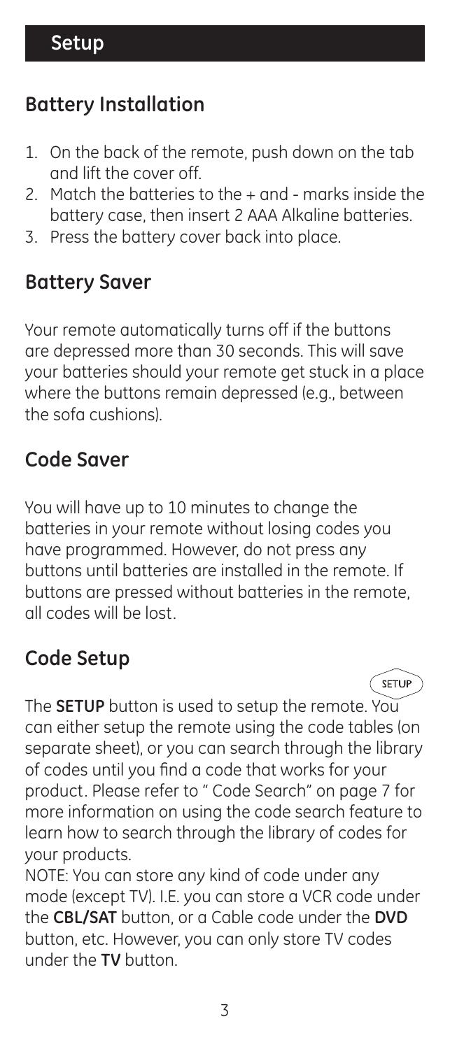# **Battery Installation**

- 1. On the back of the remote, push down on the tab and lift the cover off.
- 2. Match the batteries to the + and marks inside the battery case, then insert 2 AAA Alkaline batteries.
- 3. Press the battery cover back into place.

#### **Battery Saver**

Your remote automatically turns off if the buttons are depressed more than 30 seconds. This will save your batteries should your remote get stuck in a place where the buttons remain depressed (e.g., between the sofa cushions).

### **Code Saver**

You will have up to 10 minutes to change the batteries in your remote without losing codes you have programmed. However, do not press any buttons until batteries are installed in the remote. If buttons are pressed without batteries in the remote, all codes will be lost.

### **Code Setup**

The **SETUP** button is used to setup the remote. You can either setup the remote using the code tables (on separate sheet), or you can search through the library of codes until you find a code that works for your product. Please refer to " Code Search" on page 7 for more information on using the code search feature to learn how to search through the library of codes for your products.

SETUP

NOTE: You can store any kind of code under any mode (except TV). I.E. you can store a VCR code under the **CBL/SAT** button, or a Cable code under the **DVD**  button, etc. However, you can only store TV codes under the **TV** button.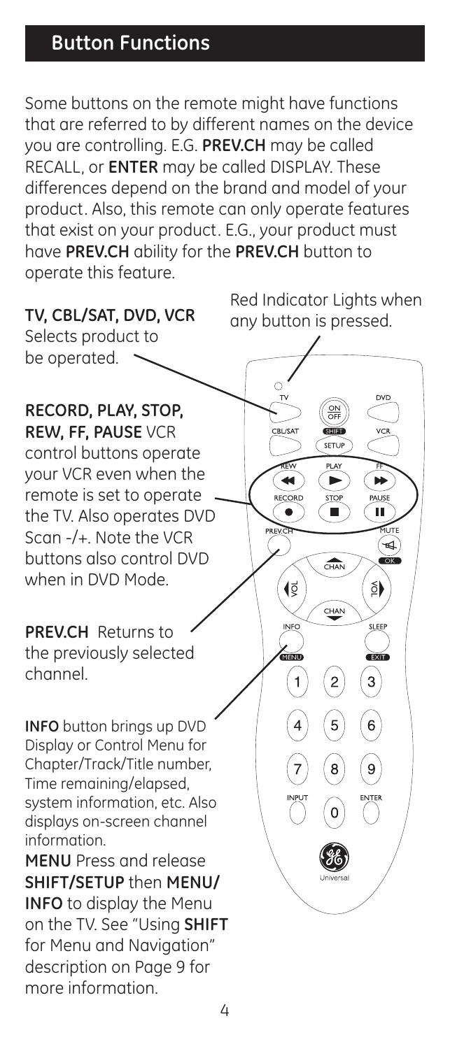# **Button Functions**

Some buttons on the remote might have functions that are referred to by different names on the device you are controlling. E.G. **PREV.CH** may be called RECALL, or **ENTER** may be called DISPLAY. These differences depend on the brand and model of your product. Also, this remote can only operate features that exist on your product. E.G., your product must have **PREV.CH** ability for the **PREV.CH** button to operate this feature.



 $\Delta$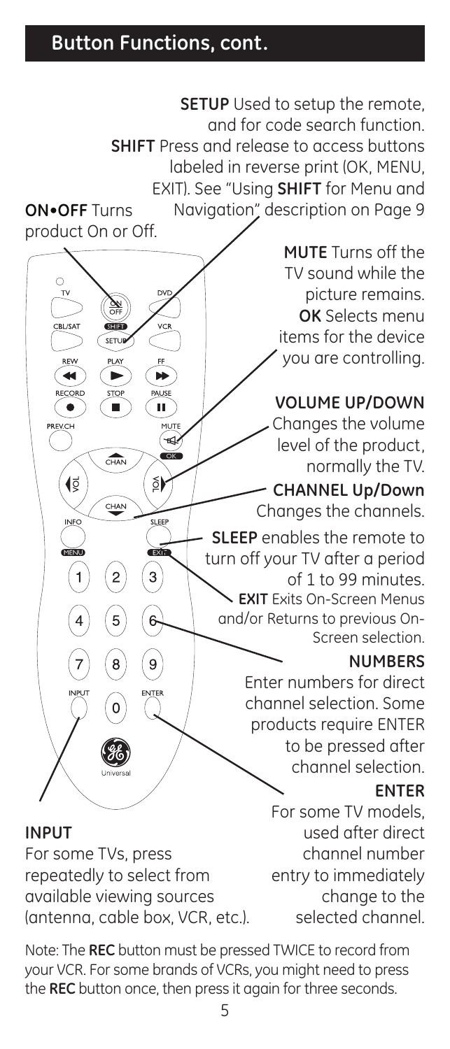### **Button Functions, cont.**

**SETUP** Used to setup the remote, and for code search function. **SHIFT** Press and release to access buttons labeled in reverse print (OK, MENU, EXIT). See "Using **SHIFT** for Menu and Navigation" description on Page 9 **ON•OFF** Turns product On or Off. **MUTE** Turns off the TV sound while the picture remains. **OK** Selects menu items for the device you are controlling. **VOLUME UP/DOWN**  Ш Changes the volume MUTE level of the product,  $\widehat{CHAN}$ normally the TV. (§  $\delta$ **CHANNEL Up/Down** CHAN Changes the channels. **SLEEP** enables the remote to turn off your TV after a period  $\mathbf{a}$  $\overline{c}$ of 1 to 99 minutes. **EXIT** Exits On-Screen Menus and/or Returns to previous On-Screen selection. **NUMBERS** Enter numbers for direct channel selection. Some products require ENTER to be pressed after channel selection. **ENTER** For some TV models, used after direct **INPUT** For some TVs, press channel number repeatedly to select from entry to immediately available viewing sources change to the

(antenna, cable box, VCR, etc.).

Note: The **REC** button must be pressed TWICE to record from your VCR. For some brands of VCRs, you might need to press the **REC** button once, then press it again for three seconds.

selected channel.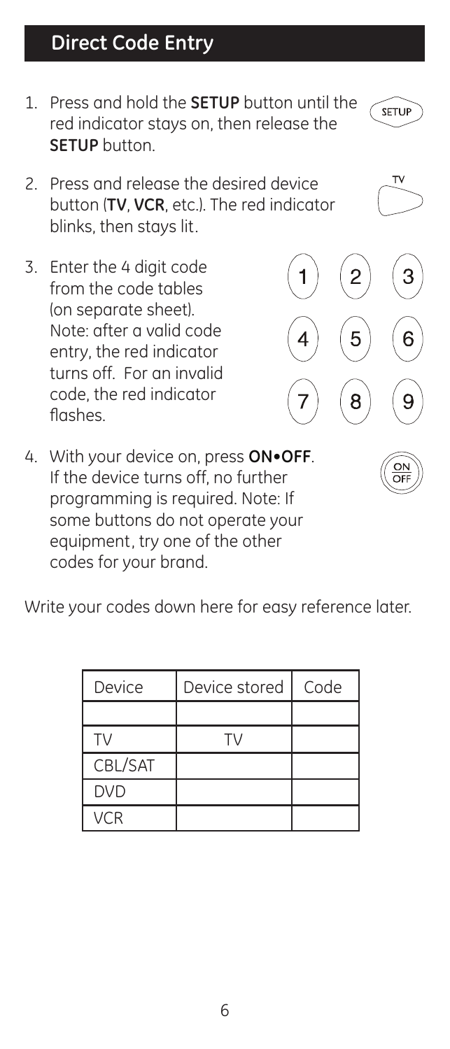# **Direct Code Entry**

- 1. Press and hold the **SETUP** button until the red indicator stays on, then release the **SETUP** button.
- 2. Press and release the desired device button (**TV**, **VCR**, etc.). The red indicator blinks, then stays lit.
- 3. Enter the 4 digit code from the code tables (on separate sheet). Note: after a valid code entry, the red indicator turns off. For an invalid code, the red indicator flashes.
- 4. With your device on, press **ON•OFF**. If the device turns off, no further programming is required. Note: If some buttons do not operate your equipment, try one of the other codes for your brand.

Write your codes down here for easy reference later.

| Device     | Device stored I | Code |
|------------|-----------------|------|
|            |                 |      |
| TV.        |                 |      |
| CBL/SAT    |                 |      |
| <b>DVD</b> |                 |      |
| VCR        |                 |      |





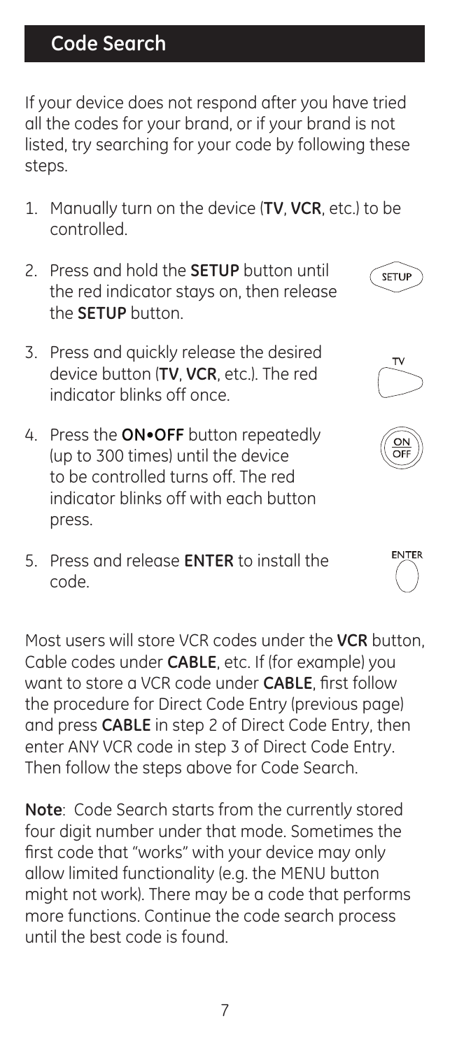# **Code Search**

If your device does not respond after you have tried all the codes for your brand, or if your brand is not listed, try searching for your code by following these steps.

1. Manually turn on the device (**TV**, **VCR**, etc.) to be controlled.

**SETHE** 

- 2. Press and hold the **SETUP** button until the red indicator stays on, then release the **SETUP** button.
- 3. Press and quickly release the desired device button (**TV**, **VCR**, etc.). The red indicator blinks off once.
- 4. Press the **ON•OFF** button repeatedly (up to 300 times) until the device to be controlled turns off. The red indicator blinks off with each button press.
- 5. Press and release **ENTER** to install the code.

Most users will store VCR codes under the **VCR** button, Cable codes under **CABLE**, etc. If (for example) you want to store a VCR code under **CABLE**, first follow the procedure for Direct Code Entry (previous page) and press **CABLE** in step 2 of Direct Code Entry, then enter ANY VCR code in step 3 of Direct Code Entry. Then follow the steps above for Code Search.

**Note**: Code Search starts from the currently stored four digit number under that mode. Sometimes the first code that "works" with your device may only allow limited functionality (e.g. the MENU button might not work). There may be a code that performs more functions. Continue the code search process until the best code is found.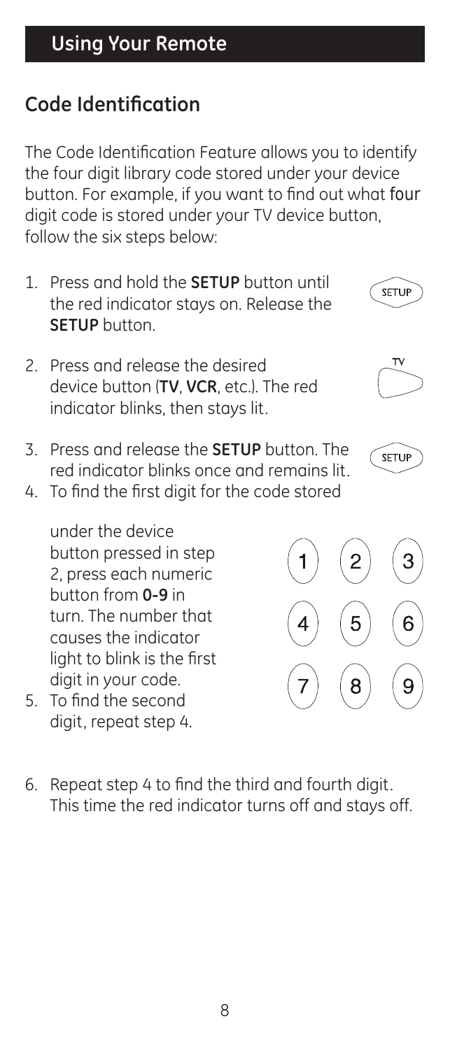# **Code Identification**

The Code Identification Feature allows you to identify the four digit library code stored under your device button. For example, if you want to find out what four digit code is stored under your TV device button, follow the six steps below:

- 1. Press and hold the **SETUP** button until the red indicator stays on. Release the **SETUP** button.
- 2. Press and release the desired device button (**TV**, **VCR**, etc.). The red indicator blinks, then stays lit.
- 3. Press and release the **SETUP** button. The red indicator blinks once and remains lit.
- 4. To find the first digit for the code stored

under the device button pressed in step 2, press each numeric button from **0-9** in turn. The number that causes the indicator light to blink is the first digit in your code.

- 5. To find the second digit, repeat step 4.
- 6. Repeat step 4 to find the third and fourth digit. This time the red indicator turns off and stays off.



**SETUP** 



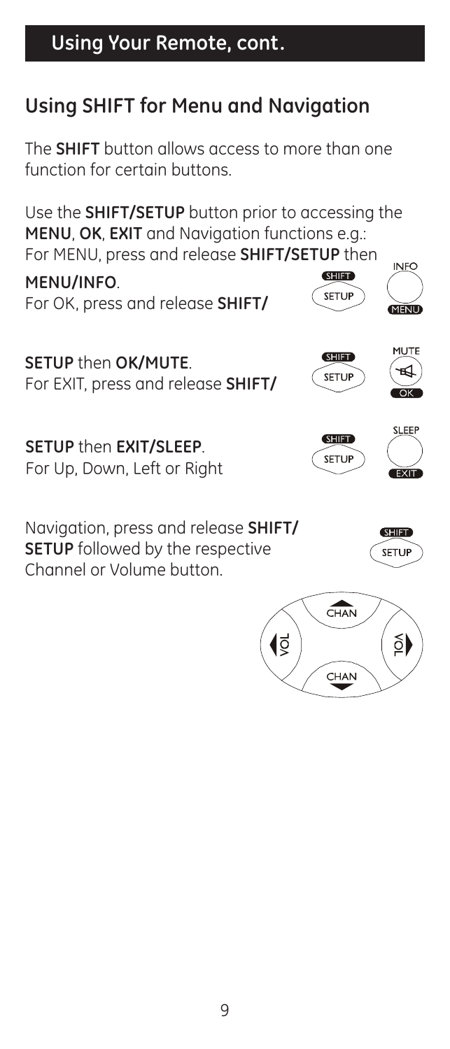# **Using Your Remote, cont.**

# **Using SHIFT for Menu and Navigation**

The **SHIFT** button allows access to more than one function for certain buttons.

Use the **SHIFT/SETUP** button prior to accessing the **MENU**, **OK**, **EXIT** and Navigation functions e.g.: For MENU, press and release **SHIFT/SETUP** then

**MENU/INFO**. For OK, press and release **SHIFT/**

**SETUP** then **OK/MUTE**. For EXIT, press and release **SHIFT/**

**SETUP** then **EXIT/SLEEP**. For Up, Down, Left or Right

Navigation, press and release **SHIFT/ SETUP** followed by the respective Channel or Volume button.





**SHIFT** SETUP



INIEC

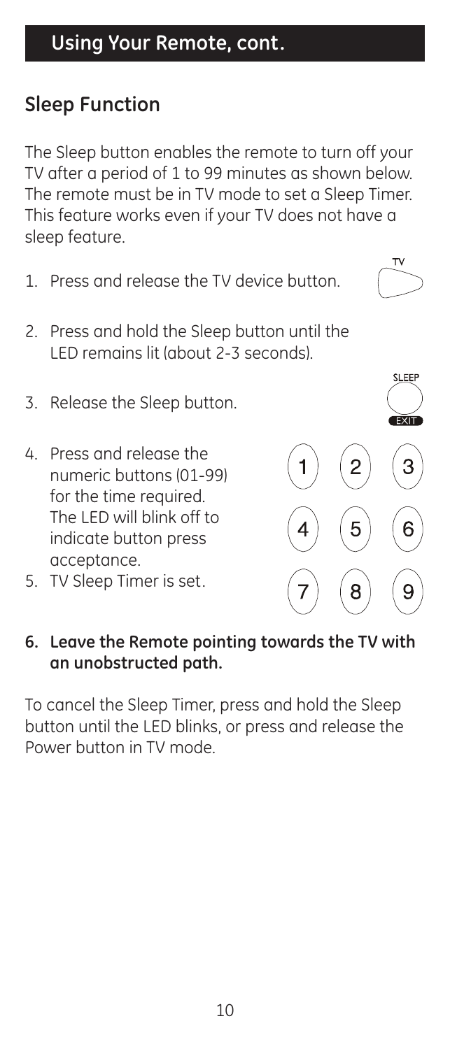# **Sleep Function**

The Sleep button enables the remote to turn off your TV after a period of 1 to 99 minutes as shown below. The remote must be in TV mode to set a Sleep Timer. This feature works even if your TV does not have a sleep feature.

- 1. Press and release the TV device button.
- 2. Press and hold the Sleep button until the LED remains lit (about 2-3 seconds).
- 3. Release the Sleep button.
- 4. Press and release the numeric buttons (01-99) for the time required. The LED will blink off to indicate button press acceptance.
- 5. TV Sleep Timer is set.

#### **6. Leave the Remote pointing towards the TV with an unobstructed path.**

To cancel the Sleep Timer, press and hold the Sleep button until the LED blinks, or press and release the Power button in TV mode.

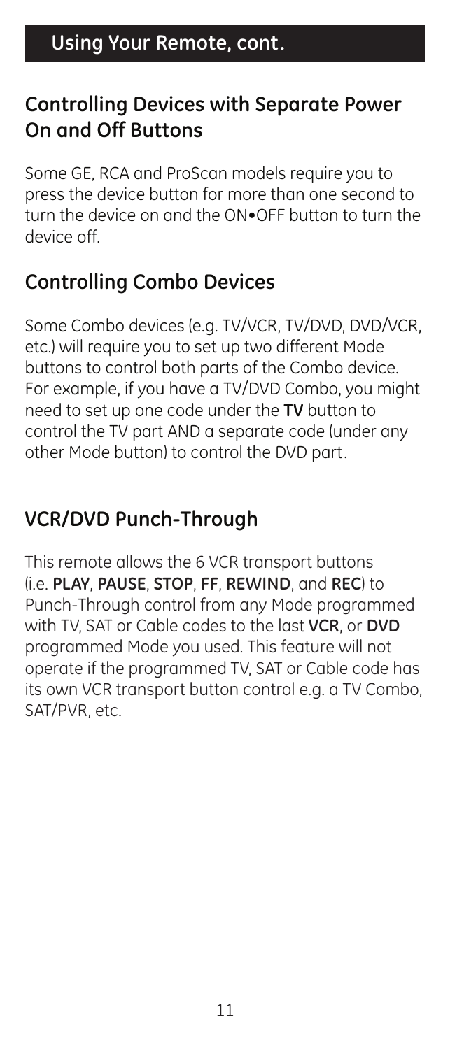#### **Controlling Devices with Separate Power On and Off Buttons**

Some GE, RCA and ProScan models require you to press the device button for more than one second to turn the device on and the ON•OFF button to turn the device off.

### **Controlling Combo Devices**

Some Combo devices (e.g. TV/VCR, TV/DVD, DVD/VCR, etc.) will require you to set up two different Mode buttons to control both parts of the Combo device. For example, if you have a TV/DVD Combo, you might need to set up one code under the **TV** button to control the TV part AND a separate code (under any other Mode button) to control the DVD part.

# **VCR/DVD Punch-Through**

This remote allows the 6 VCR transport buttons (i.e. **PLAY**, **PAUSE**, **STOP**, **FF**, **REWIND**, and **REC**) to Punch-Through control from any Mode programmed with TV, SAT or Cable codes to the last **VCR**, or **DVD** programmed Mode you used. This feature will not operate if the programmed TV, SAT or Cable code has its own VCR transport button control e.g. a TV Combo, SAT/PVR, etc.